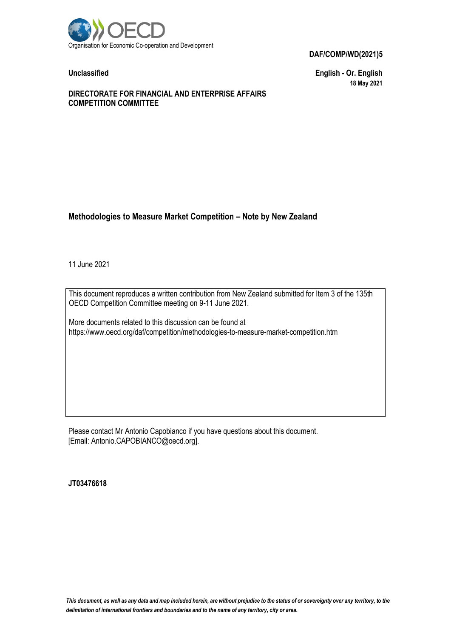

**Unclassified English - Or. English 18 May 2021**

## **DIRECTORATE FOR FINANCIAL AND ENTERPRISE AFFAIRS COMPETITION COMMITTEE**

# **Methodologies to Measure Market Competition – Note by New Zealand**

11 June 2021

This document reproduces a written contribution from New Zealand submitted for Item 3 of the 135th OECD Competition Committee meeting on 9-11 June 2021.

More documents related to this discussion can be found at https://www.oecd.org/daf/competition/methodologies-to-measure-market-competition.htm

Please contact Mr Antonio Capobianco if you have questions about this document. [Email: Antonio.CAPOBIANCO@oecd.org].

**JT03476618**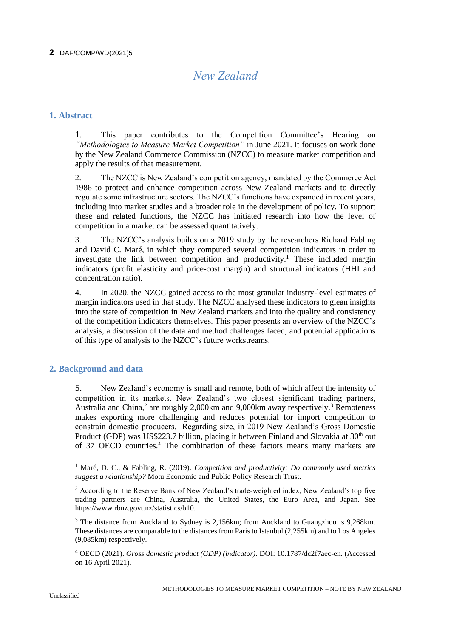# *New Zealand*

# **1. Abstract**

1. This paper contributes to the Competition Committee's Hearing on *"Methodologies to Measure Market Competition"* in June 2021. It focuses on work done by the New Zealand Commerce Commission (NZCC) to measure market competition and apply the results of that measurement.

2. The NZCC is New Zealand's competition agency, mandated by the Commerce Act 1986 to protect and enhance competition across New Zealand markets and to directly regulate some infrastructure sectors. The NZCC's functions have expanded in recent years, including into market studies and a broader role in the development of policy. To support these and related functions, the NZCC has initiated research into how the level of competition in a market can be assessed quantitatively.

3. The NZCC's analysis builds on a 2019 study by the researchers Richard Fabling and David C. Maré, in which they computed several competition indicators in order to investigate the link between competition and productivity.<sup>1</sup> These included margin indicators (profit elasticity and price-cost margin) and structural indicators (HHI and concentration ratio).

4. In 2020, the NZCC gained access to the most granular industry-level estimates of margin indicators used in that study. The NZCC analysed these indicators to glean insights into the state of competition in New Zealand markets and into the quality and consistency of the competition indicators themselves. This paper presents an overview of the NZCC's analysis, a discussion of the data and method challenges faced, and potential applications of this type of analysis to the NZCC's future workstreams.

# **2. Background and data**

5. New Zealand's economy is small and remote, both of which affect the intensity of competition in its markets. New Zealand's two closest significant trading partners, Australia and China,<sup>2</sup> are roughly 2,000km and 9,000km away respectively.<sup>3</sup> Remoteness makes exporting more challenging and reduces potential for import competition to constrain domestic producers. Regarding size, in 2019 New Zealand's Gross Domestic Product (GDP) was US\$223.7 billion, placing it between Finland and Slovakia at  $30<sup>th</sup>$  out of 37 OECD countries.<sup>4</sup> The combination of these factors means many markets are

<sup>4</sup> OECD (2021). *Gross domestic product (GDP) (indicator)*. DOI: 10.1787/dc2f7aec-en. (Accessed on 16 April 2021).

<sup>1</sup> Maré, D. C., & Fabling, R. (2019). *Competition and productivity: Do commonly used metrics suggest a relationship?* Motu Economic and Public Policy Research Trust.

 $<sup>2</sup>$  According to the Reserve Bank of New Zealand's trade-weighted index, New Zealand's top five</sup> trading partners are China, Australia, the United States, the Euro Area, and Japan. See https://www.rbnz.govt.nz/statistics/b10.

<sup>&</sup>lt;sup>3</sup> The distance from Auckland to Sydney is 2,156km; from Auckland to Guangzhou is 9,268km. These distances are comparable to the distances from Paris to Istanbul (2,255km) and to Los Angeles (9,085km) respectively.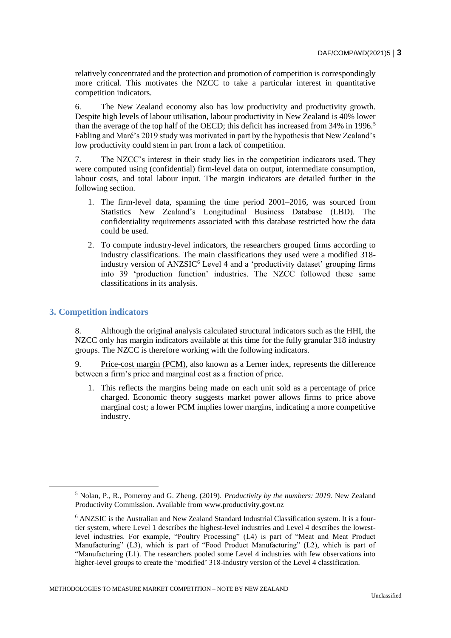relatively concentrated and the protection and promotion of competition is correspondingly more critical. This motivates the NZCC to take a particular interest in quantitative competition indicators.

6. The New Zealand economy also has low productivity and productivity growth. Despite high levels of labour utilisation, labour productivity in New Zealand is 40% lower than the average of the top half of the OECD; this deficit has increased from 34% in 1996.<sup>5</sup> Fabling and Maré's 2019 study was motivated in part by the hypothesis that New Zealand's low productivity could stem in part from a lack of competition.

7. The NZCC's interest in their study lies in the competition indicators used. They were computed using (confidential) firm-level data on output, intermediate consumption, labour costs, and total labour input. The margin indicators are detailed further in the following section.

- 1. The firm-level data, spanning the time period 2001–2016, was sourced from Statistics New Zealand's Longitudinal Business Database (LBD). The confidentiality requirements associated with this database restricted how the data could be used.
- 2. To compute industry-level indicators, the researchers grouped firms according to industry classifications. The main classifications they used were a modified 318 industry version of  $ANZSIC<sup>6</sup>$  Level 4 and a 'productivity dataset' grouping firms into 39 'production function' industries. The NZCC followed these same classifications in its analysis.

# **3. Competition indicators**

8. Although the original analysis calculated structural indicators such as the HHI, the NZCC only has margin indicators available at this time for the fully granular 318 industry groups. The NZCC is therefore working with the following indicators.

9. Price-cost margin (PCM), also known as a Lerner index, represents the difference between a firm's price and marginal cost as a fraction of price.

1. This reflects the margins being made on each unit sold as a percentage of price charged. Economic theory suggests market power allows firms to price above marginal cost; a lower PCM implies lower margins, indicating a more competitive industry.

<sup>5</sup> Nolan, P., R., Pomeroy and G. Zheng. (2019). *Productivity by the numbers: 2019*. New Zealand Productivity Commission. Available from www.productivity.govt.nz

<sup>6</sup> ANZSIC is the Australian and New Zealand Standard Industrial Classification system. It is a fourtier system, where Level 1 describes the highest-level industries and Level 4 describes the lowestlevel industries. For example, "Poultry Processing" (L4) is part of "Meat and Meat Product Manufacturing" (L3), which is part of "Food Product Manufacturing" (L2), which is part of "Manufacturing (L1). The researchers pooled some Level 4 industries with few observations into higher-level groups to create the 'modified' 318-industry version of the Level 4 classification.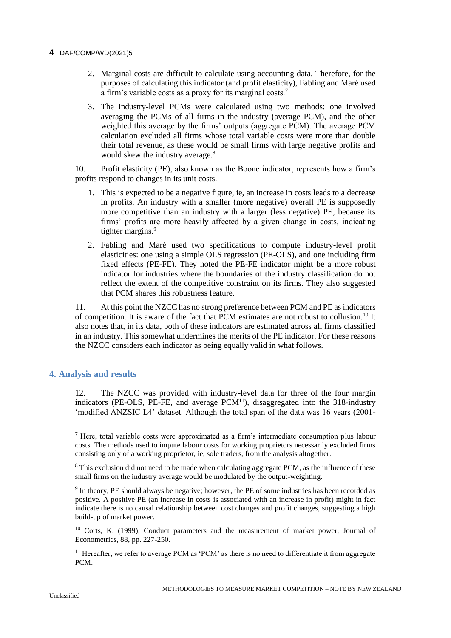- 2. Marginal costs are difficult to calculate using accounting data. Therefore, for the purposes of calculating this indicator (and profit elasticity), Fabling and Maré used a firm's variable costs as a proxy for its marginal costs.<sup>7</sup>
- 3. The industry-level PCMs were calculated using two methods: one involved averaging the PCMs of all firms in the industry (average PCM), and the other weighted this average by the firms' outputs (aggregate PCM). The average PCM calculation excluded all firms whose total variable costs were more than double their total revenue, as these would be small firms with large negative profits and would skew the industry average.<sup>8</sup>

10. Profit elasticity (PE), also known as the Boone indicator, represents how a firm's profits respond to changes in its unit costs.

- 1. This is expected to be a negative figure, ie, an increase in costs leads to a decrease in profits. An industry with a smaller (more negative) overall PE is supposedly more competitive than an industry with a larger (less negative) PE, because its firms' profits are more heavily affected by a given change in costs, indicating tighter margins.<sup>9</sup>
- 2. Fabling and Maré used two specifications to compute industry-level profit elasticities: one using a simple OLS regression (PE-OLS), and one including firm fixed effects (PE-FE). They noted the PE-FE indicator might be a more robust indicator for industries where the boundaries of the industry classification do not reflect the extent of the competitive constraint on its firms. They also suggested that PCM shares this robustness feature.

11. At this point the NZCC has no strong preference between PCM and PE as indicators of competition. It is aware of the fact that PCM estimates are not robust to collusion.<sup>10</sup> It also notes that, in its data, both of these indicators are estimated across all firms classified in an industry. This somewhat undermines the merits of the PE indicator. For these reasons the NZCC considers each indicator as being equally valid in what follows.

# **4. Analysis and results**

12. The NZCC was provided with industry-level data for three of the four margin indicators (PE-OLS, PE-FE, and average  $PCM<sup>11</sup>$ ), disaggregated into the 318-industry 'modified ANZSIC L4' dataset. Although the total span of the data was 16 years (2001-

 $<sup>7</sup>$  Here, total variable costs were approximated as a firm's intermediate consumption plus labour</sup> costs. The methods used to impute labour costs for working proprietors necessarily excluded firms consisting only of a working proprietor, ie, sole traders, from the analysis altogether.

<sup>&</sup>lt;sup>8</sup> This exclusion did not need to be made when calculating aggregate PCM, as the influence of these small firms on the industry average would be modulated by the output-weighting.

 $9<sup>9</sup>$  In theory, PE should always be negative; however, the PE of some industries has been recorded as positive. A positive PE (an increase in costs is associated with an increase in profit) might in fact indicate there is no causal relationship between cost changes and profit changes, suggesting a high build-up of market power.

<sup>&</sup>lt;sup>10</sup> Corts, K. (1999), Conduct parameters and the measurement of market power, Journal of Econometrics, 88, pp. 227-250.

 $11$  Hereafter, we refer to average PCM as 'PCM' as there is no need to differentiate it from aggregate PCM.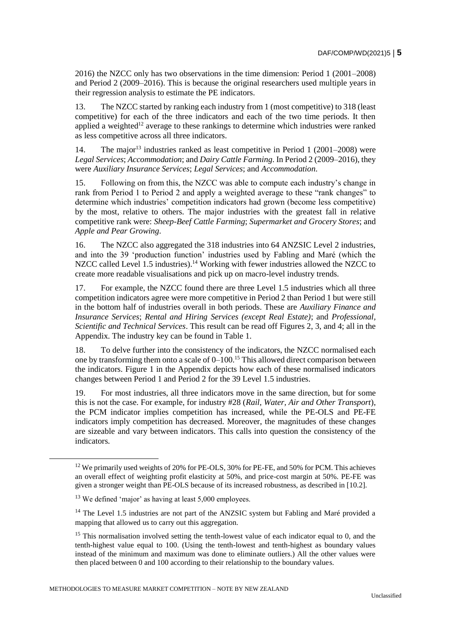2016) the NZCC only has two observations in the time dimension: Period 1 (2001–2008) and Period 2 (2009–2016). This is because the original researchers used multiple years in their regression analysis to estimate the PE indicators.

13. The NZCC started by ranking each industry from 1 (most competitive) to 318 (least competitive) for each of the three indicators and each of the two time periods. It then applied a weighted<sup>12</sup> average to these rankings to determine which industries were ranked as less competitive across all three indicators.

14. The major<sup>13</sup> industries ranked as least competitive in Period 1 (2001–2008) were *Legal Services*; *Accommodation*; and *Dairy Cattle Farming*. In Period 2 (2009–2016), they were *Auxiliary Insurance Services*; *Legal Services*; and *Accommodation*.

15. Following on from this, the NZCC was able to compute each industry's change in rank from Period 1 to Period 2 and apply a weighted average to these "rank changes" to determine which industries' competition indicators had grown (become less competitive) by the most, relative to others. The major industries with the greatest fall in relative competitive rank were: *Sheep-Beef Cattle Farming*; *Supermarket and Grocery Stores*; and *Apple and Pear Growing*.

16. The NZCC also aggregated the 318 industries into 64 ANZSIC Level 2 industries, and into the 39 'production function' industries used by Fabling and Maré (which the NZCC called Level 1.5 industries).<sup>14</sup> Working with fewer industries allowed the NZCC to create more readable visualisations and pick up on macro-level industry trends.

17. For example, the NZCC found there are three Level 1.5 industries which all three competition indicators agree were more competitive in Period 2 than Period 1 but were still in the bottom half of industries overall in both periods. These are *Auxiliary Finance and Insurance Services*; *Rental and Hiring Services (except Real Estate)*; and *Professional, Scientific and Technical Services*. This result can be read off Figures 2, 3, and 4; all in the Appendix. The industry key can be found in Table 1.

18. To delve further into the consistency of the indicators, the NZCC normalised each one by transforming them onto a scale of  $0-100$ .<sup>15</sup> This allowed direct comparison between the indicators. Figure 1 in the Appendix depicts how each of these normalised indicators changes between Period 1 and Period 2 for the 39 Level 1.5 industries.

19. For most industries, all three indicators move in the same direction, but for some this is not the case. For example, for industry #28 (*Rail, Water, Air and Other Transport*), the PCM indicator implies competition has increased, while the PE-OLS and PE-FE indicators imply competition has decreased. Moreover, the magnitudes of these changes are sizeable and vary between indicators. This calls into question the consistency of the indicators.

<sup>&</sup>lt;sup>12</sup> We primarily used weights of 20% for PE-OLS, 30% for PE-FE, and 50% for PCM. This achieves an overall effect of weighting profit elasticity at 50%, and price-cost margin at 50%. PE-FE was given a stronger weight than PE-OLS because of its increased robustness, as described in [10.2].

<sup>&</sup>lt;sup>13</sup> We defined 'major' as having at least 5,000 employees.

<sup>&</sup>lt;sup>14</sup> The Level 1.5 industries are not part of the ANZSIC system but Fabling and Maré provided a mapping that allowed us to carry out this aggregation.

 $15$  This normalisation involved setting the tenth-lowest value of each indicator equal to 0, and the tenth-highest value equal to 100. (Using the tenth-lowest and tenth-highest as boundary values instead of the minimum and maximum was done to eliminate outliers.) All the other values were then placed between 0 and 100 according to their relationship to the boundary values.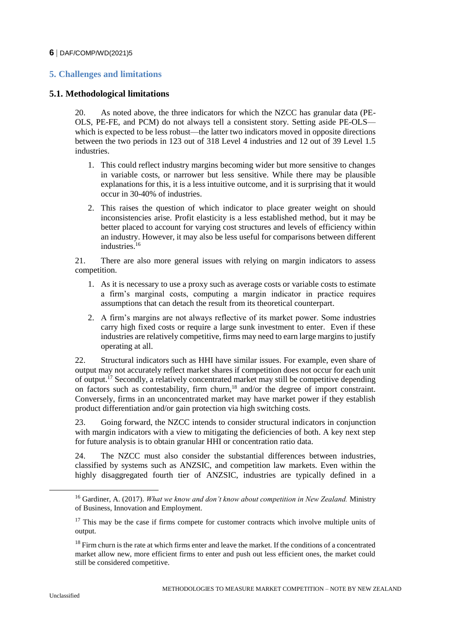# **5. Challenges and limitations**

# **5.1. Methodological limitations**

20. As noted above, the three indicators for which the NZCC has granular data (PE-OLS, PE-FE, and PCM) do not always tell a consistent story. Setting aside PE-OLS which is expected to be less robust—the latter two indicators moved in opposite directions between the two periods in 123 out of 318 Level 4 industries and 12 out of 39 Level 1.5 industries.

- 1. This could reflect industry margins becoming wider but more sensitive to changes in variable costs, or narrower but less sensitive. While there may be plausible explanations for this, it is a less intuitive outcome, and it is surprising that it would occur in 30-40% of industries.
- 2. This raises the question of which indicator to place greater weight on should inconsistencies arise. Profit elasticity is a less established method, but it may be better placed to account for varying cost structures and levels of efficiency within an industry. However, it may also be less useful for comparisons between different industries.<sup>16</sup>

21. There are also more general issues with relying on margin indicators to assess competition.

- 1. As it is necessary to use a proxy such as average costs or variable costs to estimate a firm's marginal costs, computing a margin indicator in practice requires assumptions that can detach the result from its theoretical counterpart.
- 2. A firm's margins are not always reflective of its market power. Some industries carry high fixed costs or require a large sunk investment to enter. Even if these industries are relatively competitive, firms may need to earn large margins to justify operating at all.

22. Structural indicators such as HHI have similar issues. For example, even share of output may not accurately reflect market shares if competition does not occur for each unit of output.<sup>17</sup> Secondly, a relatively concentrated market may still be competitive depending on factors such as contestability, firm churn,<sup>18</sup> and/or the degree of import constraint. Conversely, firms in an unconcentrated market may have market power if they establish product differentiation and/or gain protection via high switching costs.

23. Going forward, the NZCC intends to consider structural indicators in conjunction with margin indicators with a view to mitigating the deficiencies of both. A key next step for future analysis is to obtain granular HHI or concentration ratio data.

24. The NZCC must also consider the substantial differences between industries, classified by systems such as ANZSIC, and competition law markets. Even within the highly disaggregated fourth tier of ANZSIC, industries are typically defined in a

<sup>16</sup> Gardiner, A. (2017). *What we know and don't know about competition in New Zealand.* Ministry of Business, Innovation and Employment.

 $17$  This may be the case if firms compete for customer contracts which involve multiple units of output.

<sup>&</sup>lt;sup>18</sup> Firm churn is the rate at which firms enter and leave the market. If the conditions of a concentrated market allow new, more efficient firms to enter and push out less efficient ones, the market could still be considered competitive.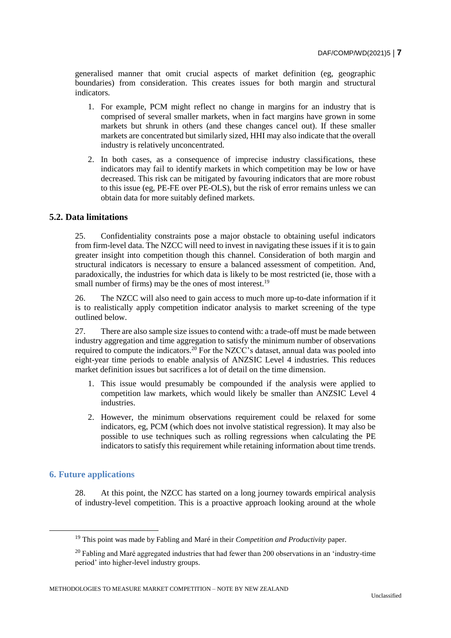generalised manner that omit crucial aspects of market definition (eg, geographic boundaries) from consideration. This creates issues for both margin and structural indicators.

- 1. For example, PCM might reflect no change in margins for an industry that is comprised of several smaller markets, when in fact margins have grown in some markets but shrunk in others (and these changes cancel out). If these smaller markets are concentrated but similarly sized, HHI may also indicate that the overall industry is relatively unconcentrated.
- 2. In both cases, as a consequence of imprecise industry classifications, these indicators may fail to identify markets in which competition may be low or have decreased. This risk can be mitigated by favouring indicators that are more robust to this issue (eg, PE-FE over PE-OLS), but the risk of error remains unless we can obtain data for more suitably defined markets.

## **5.2. Data limitations**

25. Confidentiality constraints pose a major obstacle to obtaining useful indicators from firm-level data. The NZCC will need to invest in navigating these issues if it is to gain greater insight into competition though this channel. Consideration of both margin and structural indicators is necessary to ensure a balanced assessment of competition. And, paradoxically, the industries for which data is likely to be most restricted (ie, those with a small number of firms) may be the ones of most interest.<sup>19</sup>

26. The NZCC will also need to gain access to much more up-to-date information if it is to realistically apply competition indicator analysis to market screening of the type outlined below.

27. There are also sample size issues to contend with: a trade-off must be made between industry aggregation and time aggregation to satisfy the minimum number of observations required to compute the indicators.<sup>20</sup> For the NZCC's dataset, annual data was pooled into eight-year time periods to enable analysis of ANZSIC Level 4 industries. This reduces market definition issues but sacrifices a lot of detail on the time dimension.

- 1. This issue would presumably be compounded if the analysis were applied to competition law markets, which would likely be smaller than ANZSIC Level 4 industries.
- 2. However, the minimum observations requirement could be relaxed for some indicators, eg, PCM (which does not involve statistical regression). It may also be possible to use techniques such as rolling regressions when calculating the PE indicators to satisfy this requirement while retaining information about time trends.

#### **6. Future applications**

 $\overline{a}$ 

28. At this point, the NZCC has started on a long journey towards empirical analysis of industry-level competition. This is a proactive approach looking around at the whole

<sup>19</sup> This point was made by Fabling and Maré in their *Competition and Productivity* paper.

 $20$  Fabling and Maré aggregated industries that had fewer than 200 observations in an 'industry-time period' into higher-level industry groups.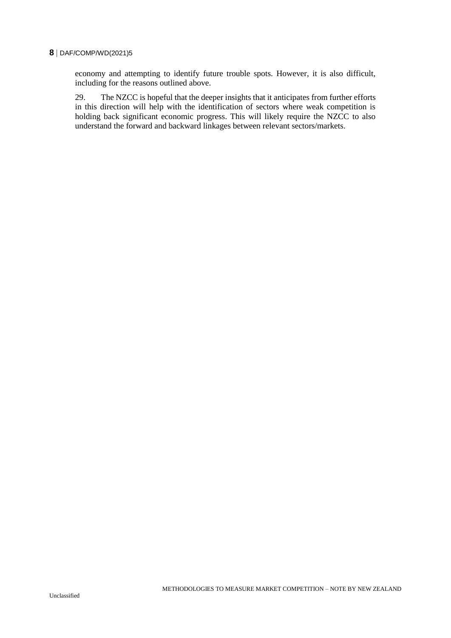economy and attempting to identify future trouble spots. However, it is also difficult, including for the reasons outlined above.

29. The NZCC is hopeful that the deeper insights that it anticipates from further efforts in this direction will help with the identification of sectors where weak competition is holding back significant economic progress. This will likely require the NZCC to also understand the forward and backward linkages between relevant sectors/markets.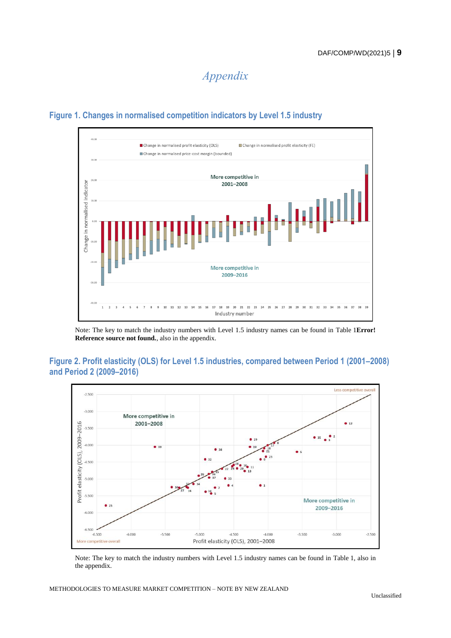*Appendix*



# **Figure 1. Changes in normalised competition indicators by Level 1.5 industry**

Note: The key to match the industry numbers with Level 1.5 industry names can be found in [Table](#page-10-0) 1**[Error!](#page-10-0)  Reference source not found.**, also in the appendix.

# **Figure 2. Profit elasticity (OLS) for Level 1.5 industries, compared between Period 1 (2001–2008) and Period 2 (2009–2016)**



Note: The key to match the industry numbers with Level 1.5 industry names can be found in [Table](#page-10-0) 1, also in the appendix.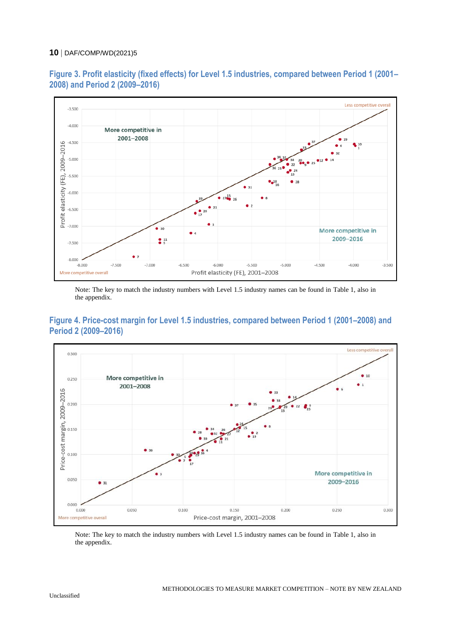

**Figure 3. Profit elasticity (fixed effects) for Level 1.5 industries, compared between Period 1 (2001– 2008) and Period 2 (2009–2016)**

Note: The key to match the industry numbers with Level 1.5 industry names can be found in [Table](#page-10-0) 1, also in the appendix.





Note: The key to match the industry numbers with Level 1.5 industry names can be found in [Table](#page-10-0) 1, also in the appendix.